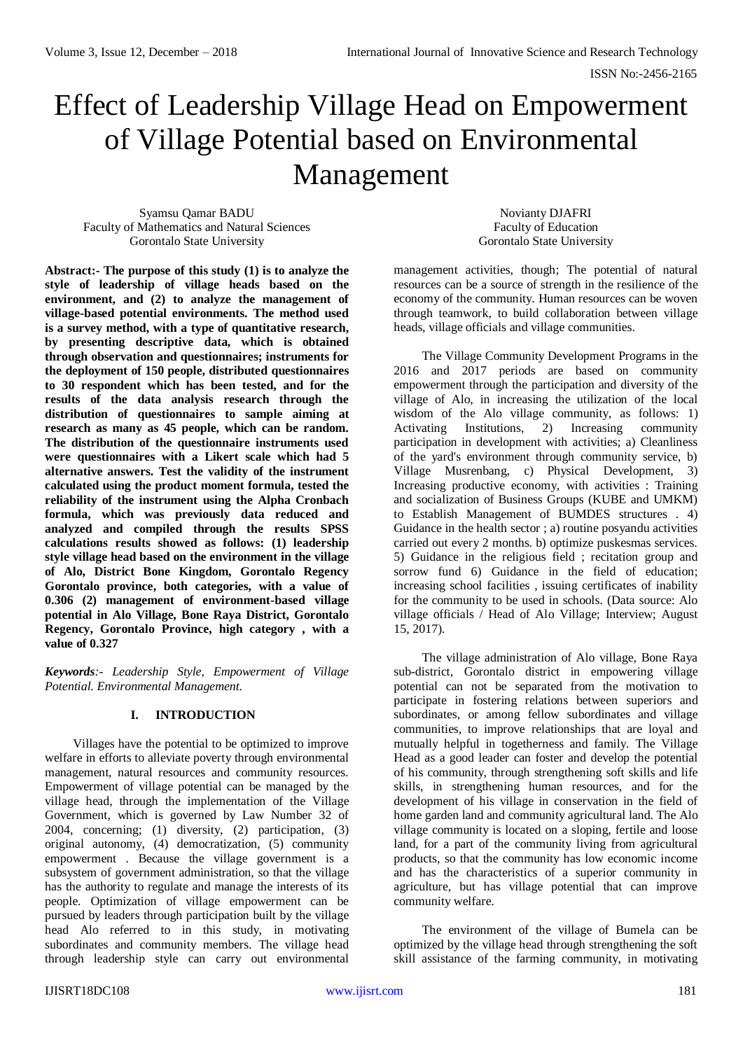# Effect of Leadership Village Head on Empowerment of Village Potential based on Environmental Management

Syamsu Qamar BADU Faculty of Mathematics and Natural Sciences Gorontalo State University

Novianty DJAFRI Faculty of Education Gorontalo State University

**Abstract:- The purpose of this study (1) is to analyze the style of leadership of village heads based on the environment, and (2) to analyze the management of village-based potential environments. The method used is a survey method, with a type of quantitative research, by presenting descriptive data, which is obtained through observation and questionnaires; instruments for the deployment of 150 people, distributed questionnaires to 30 respondent which has been tested, and for the results of the data analysis research through the distribution of questionnaires to sample aiming at research as many as 45 people, which can be random. The distribution of the questionnaire instruments used were questionnaires with a Likert scale which had 5 alternative answers. Test the validity of the instrument calculated using the product moment formula, tested the reliability of the instrument using the Alpha Cronbach formula, which was previously data reduced and analyzed and compiled through the results SPSS calculations results showed as follows: (1) leadership style village head based on the environment in the village of Alo, District Bone Kingdom, Gorontalo Regency Gorontalo province, both categories, with a value of 0.306 (2) management of environment-based village potential in Alo Village, Bone Raya District, Gorontalo Regency, Gorontalo Province, high category , with a value of 0.327** 

*Keywords:- Leadership Style, Empowerment of Village Potential. Environmental Management.*

# **I. INTRODUCTION**

Villages have the potential to be optimized to improve welfare in efforts to alleviate poverty through environmental management, natural resources and community resources. Empowerment of village potential can be managed by the village head, through the implementation of the Village Government, which is governed by Law Number 32 of 2004, concerning; (1) diversity, (2) participation, (3) original autonomy, (4) democratization, (5) community empowerment . Because the village government is a subsystem of government administration, so that the village has the authority to regulate and manage the interests of its people. Optimization of village empowerment can be pursued by leaders through participation built by the village head Alo referred to in this study, in motivating subordinates and community members. The village head through leadership style can carry out environmental

management activities, though; The potential of natural resources can be a source of strength in the resilience of the economy of the community. Human resources can be woven through teamwork, to build collaboration between village heads, village officials and village communities.

The Village Community Development Programs in the 2016 and 2017 periods are based on community empowerment through the participation and diversity of the village of Alo, in increasing the utilization of the local wisdom of the Alo village community, as follows: 1) Activating Institutions, 2) Increasing community participation in development with activities; a) Cleanliness of the yard's environment through community service, b) Village Musrenbang, c) Physical Development, 3) Increasing productive economy, with activities : Training and socialization of Business Groups (KUBE and UMKM) to Establish Management of BUMDES structures . 4) Guidance in the health sector ; a) routine posyandu activities carried out every 2 months. b) optimize puskesmas services. 5) Guidance in the religious field ; recitation group and sorrow fund 6) Guidance in the field of education: increasing school facilities , issuing certificates of inability for the community to be used in schools. (Data source: Alo village officials / Head of Alo Village; Interview; August 15, 2017).

The village administration of Alo village, Bone Raya sub-district, Gorontalo district in empowering village potential can not be separated from the motivation to participate in fostering relations between superiors and subordinates, or among fellow subordinates and village communities, to improve relationships that are loyal and mutually helpful in togetherness and family. The Village Head as a good leader can foster and develop the potential of his community, through strengthening soft skills and life skills, in strengthening human resources, and for the development of his village in conservation in the field of home garden land and community agricultural land. The Alo village community is located on a sloping, fertile and loose land, for a part of the community living from agricultural products, so that the community has low economic income and has the characteristics of a superior community in agriculture, but has village potential that can improve community welfare.

The environment of the village of Bumela can be optimized by the village head through strengthening the soft skill assistance of the farming community, in motivating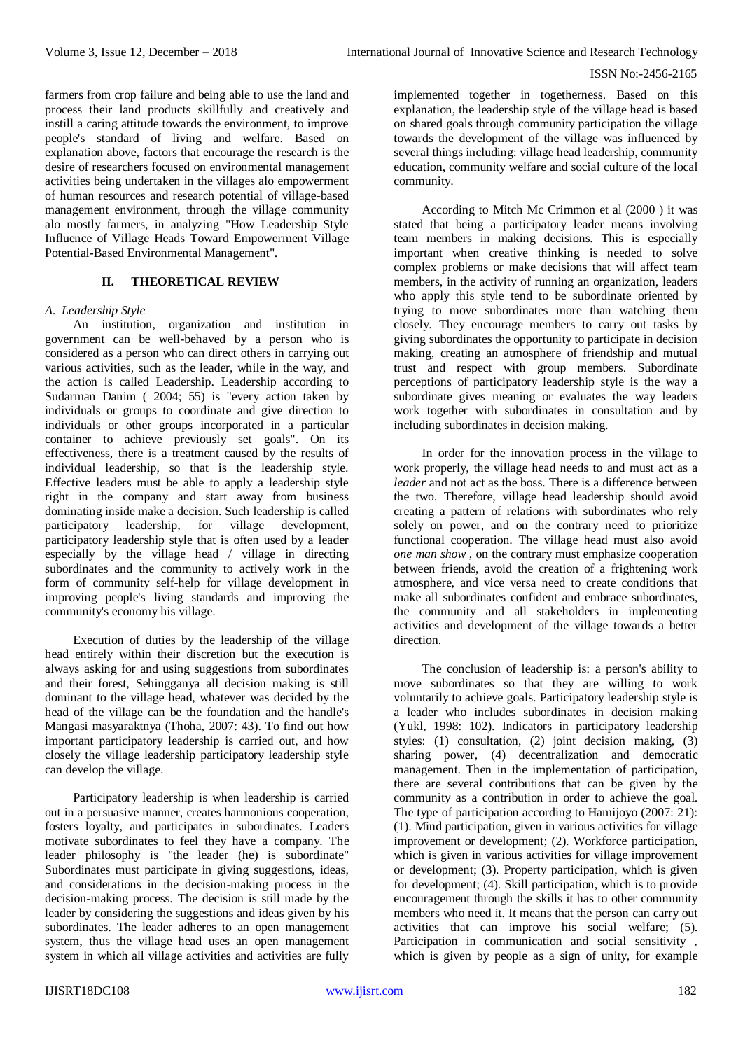farmers from crop failure and being able to use the land and process their land products skillfully and creatively and instill a caring attitude towards the environment, to improve people's standard of living and welfare. Based on explanation above, factors that encourage the research is the desire of researchers focused on environmental management activities being undertaken in the villages alo empowerment of human resources and research potential of village-based management environment, through the village community alo mostly farmers, in analyzing "How Leadership Style Influence of Village Heads Toward Empowerment Village Potential-Based Environmental Management".

# **II. THEORETICAL REVIEW**

#### *A. Leadership Style*

An institution, organization and institution in government can be well-behaved by a person who is considered as a person who can direct others in carrying out various activities, such as the leader, while in the way, and the action is called Leadership. Leadership according to Sudarman Danim ( 2004; 55) is "every action taken by individuals or groups to coordinate and give direction to individuals or other groups incorporated in a particular container to achieve previously set goals". On its effectiveness, there is a treatment caused by the results of individual leadership, so that is the leadership style. Effective leaders must be able to apply a leadership style right in the company and start away from business dominating inside make a decision. Such leadership is called participatory leadership, for village development, participatory leadership style that is often used by a leader especially by the village head / village in directing subordinates and the community to actively work in the form of community self-help for village development in improving people's living standards and improving the community's economy his village.

Execution of duties by the leadership of the village head entirely within their discretion but the execution is always asking for and using suggestions from subordinates and their forest, Sehingganya all decision making is still dominant to the village head, whatever was decided by the head of the village can be the foundation and the handle's Mangasi masyaraktnya (Thoha, 2007: 43). To find out how important participatory leadership is carried out, and how closely the village leadership participatory leadership style can develop the village.

Participatory leadership is when leadership is carried out in a persuasive manner, creates harmonious cooperation, fosters loyalty, and participates in subordinates. Leaders motivate subordinates to feel they have a company. The leader philosophy is "the leader (he) is subordinate" Subordinates must participate in giving suggestions, ideas, and considerations in the decision-making process in the decision-making process. The decision is still made by the leader by considering the suggestions and ideas given by his subordinates. The leader adheres to an open management system, thus the village head uses an open management system in which all village activities and activities are fully

implemented together in togetherness. Based on this explanation, the leadership style of the village head is based on shared goals through community participation the village towards the development of the village was influenced by several things including: village head leadership, community education, community welfare and social culture of the local community.

According to Mitch Mc Crimmon et al (2000 ) it was stated that being a participatory leader means involving team members in making decisions. This is especially important when creative thinking is needed to solve complex problems or make decisions that will affect team members, in the activity of running an organization, leaders who apply this style tend to be subordinate oriented by trying to move subordinates more than watching them closely. They encourage members to carry out tasks by giving subordinates the opportunity to participate in decision making, creating an atmosphere of friendship and mutual trust and respect with group members. Subordinate perceptions of participatory leadership style is the way a subordinate gives meaning or evaluates the way leaders work together with subordinates in consultation and by including subordinates in decision making.

In order for the innovation process in the village to work properly, the village head needs to and must act as a *leader* and not act as the boss. There is a difference between the two. Therefore, village head leadership should avoid creating a pattern of relations with subordinates who rely solely on power, and on the contrary need to prioritize functional cooperation. The village head must also avoid *one man show* , on the contrary must emphasize cooperation between friends, avoid the creation of a frightening work atmosphere, and vice versa need to create conditions that make all subordinates confident and embrace subordinates, the community and all stakeholders in implementing activities and development of the village towards a better direction.

The conclusion of leadership is: a person's ability to move subordinates so that they are willing to work voluntarily to achieve goals. Participatory leadership style is a leader who includes subordinates in decision making (Yukl, 1998: 102). Indicators in participatory leadership styles: (1) consultation, (2) joint decision making, (3) sharing power, (4) decentralization and democratic management. Then in the implementation of participation, there are several contributions that can be given by the community as a contribution in order to achieve the goal. The type of participation according to Hamijoyo (2007: 21): (1). Mind participation, given in various activities for village improvement or development; (2). Workforce participation, which is given in various activities for village improvement or development; (3). Property participation, which is given for development; (4). Skill participation, which is to provide encouragement through the skills it has to other community members who need it. It means that the person can carry out activities that can improve his social welfare; (5). Participation in communication and social sensitivity , which is given by people as a sign of unity, for example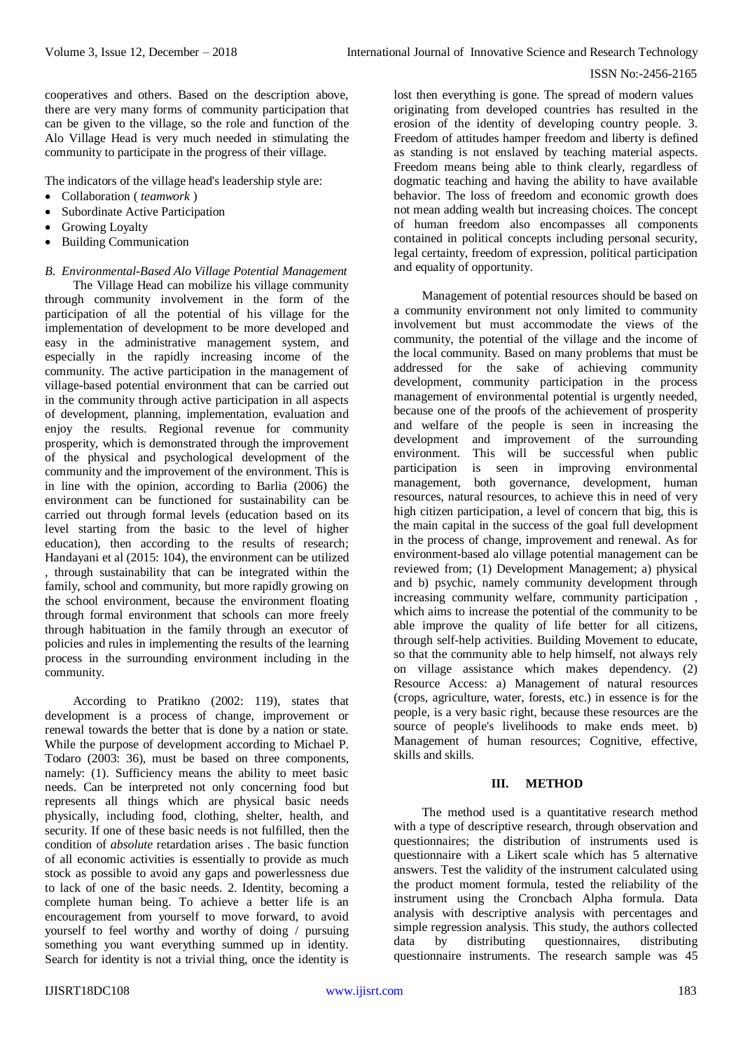cooperatives and others. Based on the description above, there are very many forms of community participation that can be given to the village, so the role and function of the Alo Village Head is very much needed in stimulating the community to participate in the progress of their village.

The indicators of the village head's leadership style are:

- Collaboration ( *teamwork* )
- Subordinate Active Participation
- Growing Loyalty
- Building Communication

# *B. Environmental-Based Alo Village Potential Management*

The Village Head can mobilize his village community through community involvement in the form of the participation of all the potential of his village for the implementation of development to be more developed and easy in the administrative management system, and especially in the rapidly increasing income of the community. The active participation in the management of village-based potential environment that can be carried out in the community through active participation in all aspects of development, planning, implementation, evaluation and enjoy the results. Regional revenue for community prosperity, which is demonstrated through the improvement of the physical and psychological development of the community and the improvement of the environment. This is in line with the opinion, according to Barlia (2006) the environment can be functioned for sustainability can be carried out through formal levels (education based on its level starting from the basic to the level of higher education), then according to the results of research; Handayani et al (2015: 104), the environment can be utilized , through sustainability that can be integrated within the family, school and community, but more rapidly growing on the school environment, because the environment floating through formal environment that schools can more freely through habituation in the family through an executor of policies and rules in implementing the results of the learning process in the surrounding environment including in the community.

According to Pratikno (2002: 119), states that development is a process of change, improvement or renewal towards the better that is done by a nation or state. While the purpose of development according to Michael P. Todaro (2003: 36), must be based on three components, namely: (1). Sufficiency means the ability to meet basic needs. Can be interpreted not only concerning food but represents all things which are physical basic needs physically, including food, clothing, shelter, health, and security. If one of these basic needs is not fulfilled, then the condition of *absolute* retardation arises . The basic function of all economic activities is essentially to provide as much stock as possible to avoid any gaps and powerlessness due to lack of one of the basic needs. 2. Identity, becoming a complete human being. To achieve a better life is an encouragement from yourself to move forward, to avoid yourself to feel worthy and worthy of doing / pursuing something you want everything summed up in identity. Search for identity is not a trivial thing, once the identity is

lost then everything is gone. The spread of modern values originating from developed countries has resulted in the erosion of the identity of developing country people. 3. Freedom of attitudes hamper freedom and liberty is defined as standing is not enslaved by teaching material aspects. Freedom means being able to think clearly, regardless of dogmatic teaching and having the ability to have available behavior. The loss of freedom and economic growth does not mean adding wealth but increasing choices. The concept of human freedom also encompasses all components contained in political concepts including personal security, legal certainty, freedom of expression, political participation and equality of opportunity.

Management of potential resources should be based on a community environment not only limited to community involvement but must accommodate the views of the community, the potential of the village and the income of the local community. Based on many problems that must be addressed for the sake of achieving community development, community participation in the process management of environmental potential is urgently needed, because one of the proofs of the achievement of prosperity and welfare of the people is seen in increasing the development and improvement of the surrounding<br>environment. This will be successful when public This will be successful when public participation is seen in improving environmental management, both governance, development, human resources, natural resources, to achieve this in need of very high citizen participation, a level of concern that big, this is the main capital in the success of the goal full development in the process of change, improvement and renewal. As for environment-based alo village potential management can be reviewed from; (1) Development Management; a) physical and b) psychic, namely community development through increasing community welfare, community participation , which aims to increase the potential of the community to be able improve the quality of life better for all citizens, through self-help activities. Building Movement to educate, so that the community able to help himself, not always rely on village assistance which makes dependency. (2) Resource Access: a) Management of natural resources (crops, agriculture, water, forests, etc.) in essence is for the people, is a very basic right, because these resources are the source of people's livelihoods to make ends meet. b) Management of human resources; Cognitive, effective, skills and skills.

# **III. METHOD**

The method used is a quantitative research method with a type of descriptive research, through observation and questionnaires; the distribution of instruments used is questionnaire with a Likert scale which has 5 alternative answers. Test the validity of the instrument calculated using the product moment formula, tested the reliability of the instrument using the Croncbach Alpha formula. Data analysis with descriptive analysis with percentages and simple regression analysis. This study, the authors collected data by distributing questionnaires, distributing questionnaire instruments. The research sample was 45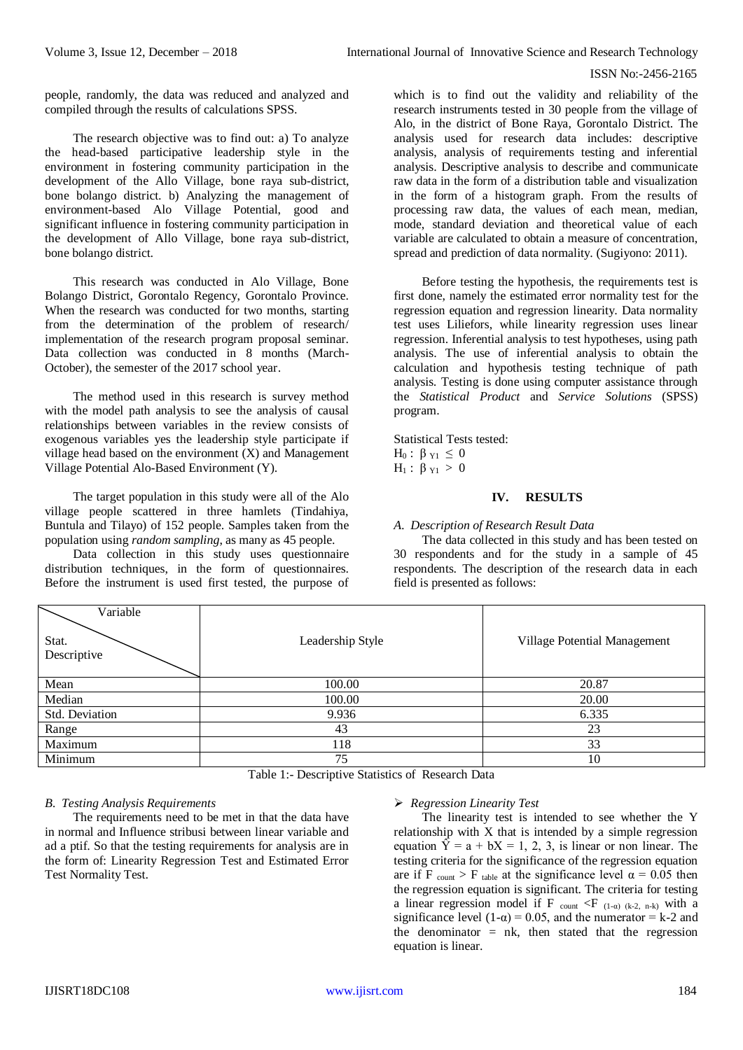people, randomly, the data was reduced and analyzed and compiled through the results of calculations SPSS.

The research objective was to find out: a) To analyze the head-based participative leadership style in the environment in fostering community participation in the development of the Allo Village, bone raya sub-district, bone bolango district. b) Analyzing the management of environment-based Alo Village Potential, good and significant influence in fostering community participation in the development of Allo Village, bone raya sub-district, bone bolango district.

This research was conducted in Alo Village, Bone Bolango District, Gorontalo Regency, Gorontalo Province. When the research was conducted for two months, starting from the determination of the problem of research/ implementation of the research program proposal seminar. Data collection was conducted in 8 months (March-October), the semester of the 2017 school year.

The method used in this research is survey method with the model path analysis to see the analysis of causal relationships between variables in the review consists of exogenous variables yes the leadership style participate if village head based on the environment (X) and Management Village Potential Alo-Based Environment (Y).

The target population in this study were all of the Alo village people scattered in three hamlets (Tindahiya, Buntula and Tilayo) of 152 people. Samples taken from the population using *random sampling*, as many as 45 people.

Data collection in this study uses questionnaire distribution techniques, in the form of questionnaires. Before the instrument is used first tested, the purpose of

which is to find out the validity and reliability of the research instruments tested in 30 people from the village of Alo, in the district of Bone Raya, Gorontalo District. The analysis used for research data includes: descriptive analysis, analysis of requirements testing and inferential analysis. Descriptive analysis to describe and communicate raw data in the form of a distribution table and visualization in the form of a histogram graph. From the results of processing raw data, the values of each mean, median, mode, standard deviation and theoretical value of each variable are calculated to obtain a measure of concentration, spread and prediction of data normality. (Sugiyono: 2011).

Before testing the hypothesis, the requirements test is first done, namely the estimated error normality test for the regression equation and regression linearity. Data normality test uses Liliefors, while linearity regression uses linear regression. Inferential analysis to test hypotheses, using path analysis. The use of inferential analysis to obtain the calculation and hypothesis testing technique of path analysis*.* Testing is done using computer assistance through the *Statistical Product* and *Service Solutions* (SPSS) program.

Statistical Tests tested: H<sub>0</sub> :  $\beta_{\text{Y1}} \leq 0$  $H_1$ : β <sub>Y1</sub> > 0

# **IV. RESULTS**

# *A. Description of Research Result Data*

The data collected in this study and has been tested on 30 respondents and for the study in a sample of 45 respondents. The description of the research data in each field is presented as follows:

| Variable<br>Stat.<br>Descriptive | Leadership Style | Village Potential Management |
|----------------------------------|------------------|------------------------------|
| Mean                             | 100.00           | 20.87                        |
| Median                           | 100.00           | 20.00                        |
| Std. Deviation                   | 9.936            | 6.335                        |
| Range                            | 43               | 23                           |
| Maximum                          | 118              | 33                           |
| Minimum                          | 75               | 10                           |
|                                  | - -<br>$-$       |                              |

Table 1:- Descriptive Statistics of Research Data

# *B. Testing Analysis Requirements*

The requirements need to be met in that the data have in normal and Influence stribusi between linear variable and ad a ptif. So that the testing requirements for analysis are in the form of: Linearity Regression Test and Estimated Error Test Normality Test.

# *Regression Linearity Test*

The linearity test is intended to see whether the Y relationship with X that is intended by a simple regression equation  $\hat{Y} = a + bX = 1, 2, 3$ , is linear or non linear. The testing criteria for the significance of the regression equation are if F  $_{\text{count}} >$  F  $_{\text{table}}$  at the significance level  $\alpha = 0.05$  then the regression equation is significant. The criteria for testing a linear regression model if F count <F  $(1-\alpha)$  (k-2, n-k) with a significance level (1- $\alpha$ ) = 0.05, and the numerator = k-2 and the denominator  $=$  nk, then stated that the regression equation is linear.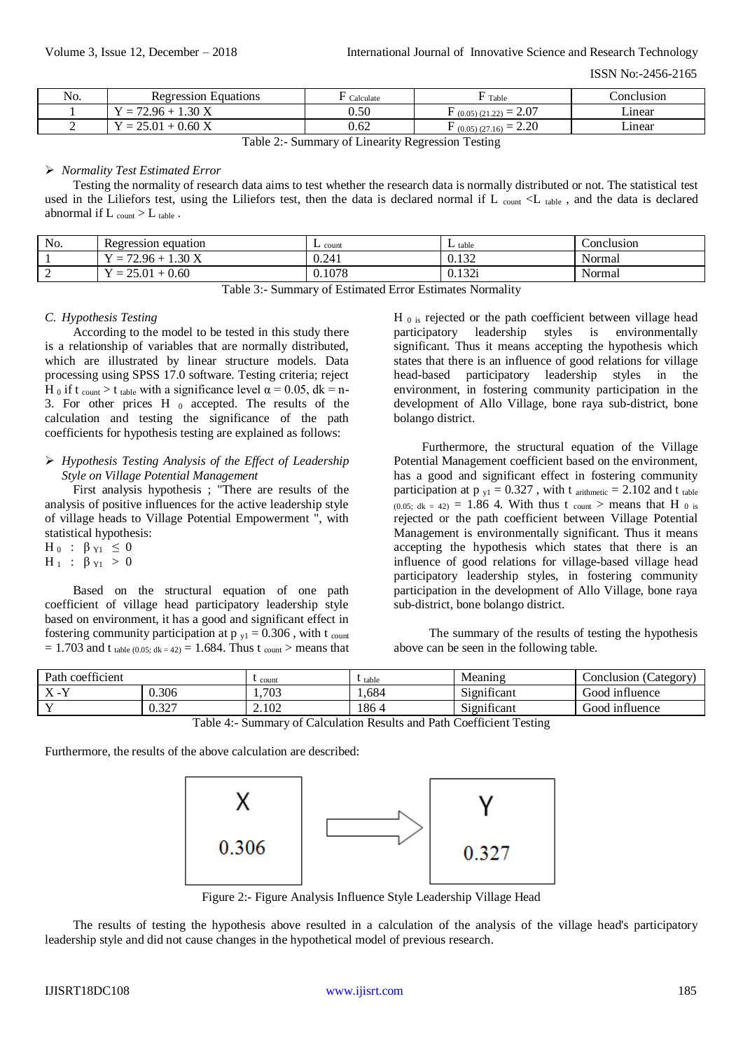| No. | Regression Equations         | Calculate | Table                       | Conclusion |
|-----|------------------------------|-----------|-----------------------------|------------|
|     | $1.30\text{ X}$<br>$= 72.96$ | $0.50\,$  | 2.07<br>$(0.05)(21.22) = 4$ | ∟ınear     |
|     | $= 25.01 + 0.60$ X           | 0.62      | 2.20<br>(0.05)(27.16)       | ∟ınear     |

Table 2:- Summary of Linearity Regression Testing

#### *Normality Test Estimated Error*

Testing the normality of research data aims to test whether the research data is normally distributed or not. The statistical test used in the Liliefors test, using the Liliefors test, then the data is declared normal if L count  $\langle L \rangle$  table, and the data is declared abnormal if  $L_{\text{count}} > L_{\text{table}}$ .

| No.           | Regression<br>equation                         | $\perp$ count | $\perp$ table  | Conclusion |
|---------------|------------------------------------------------|---------------|----------------|------------|
|               | 30X<br>72.96<br>$\hspace{0.05cm}$              | 0.241         | 0.122<br>0.134 | Normal     |
| $\sim$<br>. . | 0.60<br>$\cap$<br>01<br>$\hspace{0.05cm}$<br>- | 0.1078        | 122<br>0.1341  | Normal     |

Table 3:- Summary of Estimated Error Estimates Normality

#### *C. Hypothesis Testing*

According to the model to be tested in this study there is a relationship of variables that are normally distributed, which are illustrated by linear structure models. Data processing using SPSS 17.0 software. Testing criteria; reject H 0 if t count > t table with a significance level  $\alpha$  = 0.05, dk = n-3. For other prices H  $_0$  accepted. The results of the calculation and testing the significance of the path coefficients for hypothesis testing are explained as follows:

# *Hypothesis Testing Analysis of the Effect of Leadership Style on Village Potential Management*

First analysis hypothesis ; "There are results of the analysis of positive influences for the active leadership style of village heads to Village Potential Empowerment ", with statistical hypothesis:

 $H_0$  : β  $Y_1 \leq 0$  $H_1$  : β  $Y_1 > 0$ 

Based on the structural equation of one path coefficient of village head participatory leadership style based on environment, it has a good and significant effect in fostering community participation at  $p_{y1} = 0.306$ , with t <sub>count</sub>  $= 1.703$  and t table (0.05; dk = 42) = 1.684. Thus t <sub>count</sub> > means that H<sub>0</sub> is rejected or the path coefficient between village head participatory leadership styles is environmentally significant. Thus it means accepting the hypothesis which states that there is an influence of good relations for village head-based participatory leadership styles in the environment, in fostering community participation in the development of Allo Village, bone raya sub-district, bone bolango district.

Furthermore, the structural equation of the Village Potential Management coefficient based on the environment, has a good and significant effect in fostering community participation at  $p_{y1} = 0.327$ , with t arithmetic = 2.102 and t table (0.05; dk = 42) = 1.86 4. With thus t count > means that H  $_0$  is rejected or the path coefficient between Village Potential Management is environmentally significant. Thus it means accepting the hypothesis which states that there is an influence of good relations for village-based village head participatory leadership styles, in fostering community participation in the development of Allo Village, bone raya sub-district, bone bolango district.

The summary of the results of testing the hypothesis above can be seen in the following table.

| $\sim$<br>Path<br>ı coettıcıent |                          | t count | table              | Meaning                                   | $\overline{\phantom{a}}$<br>(Category<br>-`onclusion / |
|---------------------------------|--------------------------|---------|--------------------|-------------------------------------------|--------------------------------------------------------|
| $\mathbf{v}$<br>$\Lambda$       | 0.306                    | 1,703   | .684               | $\cdot$ $\sim$<br>$\sim$<br>Significant   | boot<br>ntluence                                       |
| $\mathbf{v}$                    | 227<br>$\cup$ . $\cup$ . | 2.102   | 186∠<br>$\sqrt{ }$ | $\cdot$ $\sim$<br>$\sim$ .<br>Significant | Good influence                                         |

Table 4:- Summary of Calculation Results and Path Coefficient Testing

Furthermore, the results of the above calculation are described:



Figure 2:- Figure Analysis Influence Style Leadership Village Head

The results of testing the hypothesis above resulted in a calculation of the analysis of the village head's participatory leadership style and did not cause changes in the hypothetical model of previous research.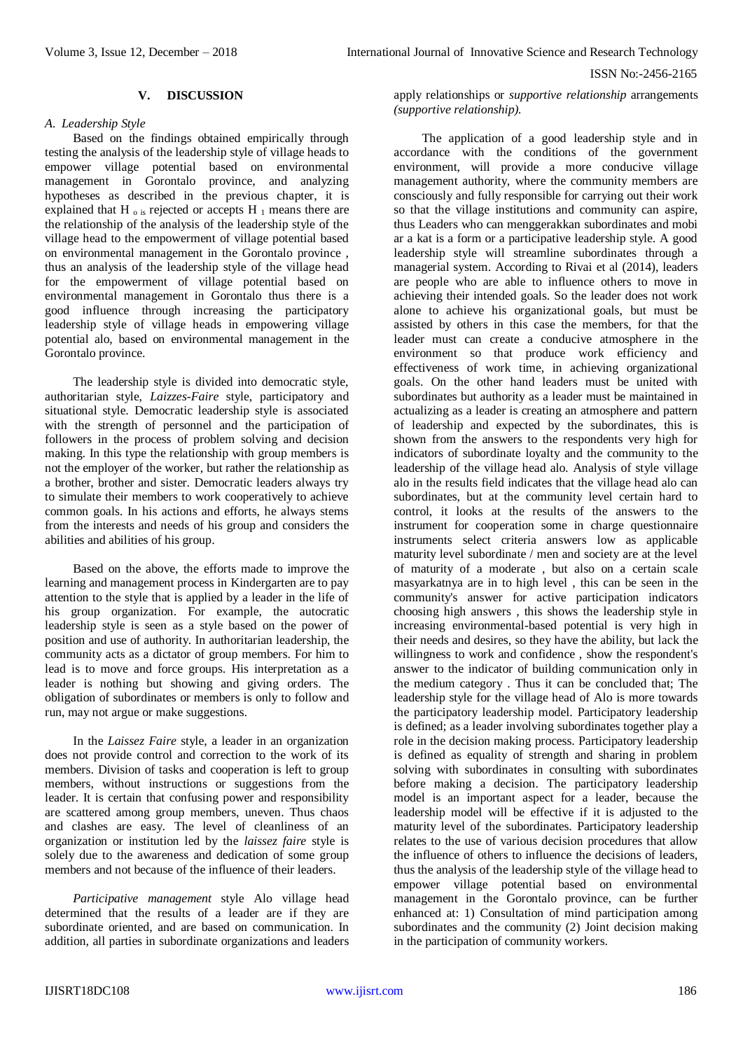#### **V. DISCUSSION**

#### *A. Leadership Style*

Based on the findings obtained empirically through testing the analysis of the leadership style of village heads to empower village potential based on environmental management in Gorontalo province, and analyzing hypotheses as described in the previous chapter, it is explained that H  $_0$  is rejected or accepts H  $_1$  means there are the relationship of the analysis of the leadership style of the village head to the empowerment of village potential based on environmental management in the Gorontalo province , thus an analysis of the leadership style of the village head for the empowerment of village potential based on environmental management in Gorontalo thus there is a good influence through increasing the participatory leadership style of village heads in empowering village potential alo, based on environmental management in the Gorontalo province.

The leadership style is divided into democratic style, authoritarian style, *Laizzes-Faire* style, participatory and situational style. Democratic leadership style is associated with the strength of personnel and the participation of followers in the process of problem solving and decision making. In this type the relationship with group members is not the employer of the worker, but rather the relationship as a brother, brother and sister. Democratic leaders always try to simulate their members to work cooperatively to achieve common goals. In his actions and efforts, he always stems from the interests and needs of his group and considers the abilities and abilities of his group.

Based on the above, the efforts made to improve the learning and management process in Kindergarten are to pay attention to the style that is applied by a leader in the life of his group organization. For example, the autocratic leadership style is seen as a style based on the power of position and use of authority. In authoritarian leadership, the community acts as a dictator of group members. For him to lead is to move and force groups. His interpretation as a leader is nothing but showing and giving orders. The obligation of subordinates or members is only to follow and run, may not argue or make suggestions.

In the *Laissez Faire* style, a leader in an organization does not provide control and correction to the work of its members. Division of tasks and cooperation is left to group members, without instructions or suggestions from the leader. It is certain that confusing power and responsibility are scattered among group members, uneven. Thus chaos and clashes are easy. The level of cleanliness of an organization or institution led by the *laissez faire* style is solely due to the awareness and dedication of some group members and not because of the influence of their leaders.

*Participative management* style Alo village head determined that the results of a leader are if they are subordinate oriented, and are based on communication. In addition, all parties in subordinate organizations and leaders apply relationships or *supportive relationship* arrangements *(supportive relationship).*

The application of a good leadership style and in accordance with the conditions of the government environment, will provide a more conducive village management authority, where the community members are consciously and fully responsible for carrying out their work so that the village institutions and community can aspire, thus Leaders who can menggerakkan subordinates and mobi ar a kat is a form or a participative leadership style. A good leadership style will streamline subordinates through a managerial system. According to Rivai et al (2014), leaders are people who are able to influence others to move in achieving their intended goals. So the leader does not work alone to achieve his organizational goals, but must be assisted by others in this case the members, for that the leader must can create a conducive atmosphere in the environment so that produce work efficiency and effectiveness of work time, in achieving organizational goals. On the other hand leaders must be united with subordinates but authority as a leader must be maintained in actualizing as a leader is creating an atmosphere and pattern of leadership and expected by the subordinates, this is shown from the answers to the respondents very high for indicators of subordinate loyalty and the community to the leadership of the village head alo. Analysis of style village alo in the results field indicates that the village head alo can subordinates, but at the community level certain hard to control, it looks at the results of the answers to the instrument for cooperation some in charge questionnaire instruments select criteria answers low as applicable maturity level subordinate / men and society are at the level of maturity of a moderate , but also on a certain scale masyarkatnya are in to high level , this can be seen in the community's answer for active participation indicators choosing high answers , this shows the leadership style in increasing environmental-based potential is very high in their needs and desires, so they have the ability, but lack the willingness to work and confidence , show the respondent's answer to the indicator of building communication only in the medium category . Thus it can be concluded that; The leadership style for the village head of Alo is more towards the participatory leadership model. Participatory leadership is defined; as a leader involving subordinates together play a role in the decision making process. Participatory leadership is defined as equality of strength and sharing in problem solving with subordinates in consulting with subordinates before making a decision. The participatory leadership model is an important aspect for a leader, because the leadership model will be effective if it is adjusted to the maturity level of the subordinates. Participatory leadership relates to the use of various decision procedures that allow the influence of others to influence the decisions of leaders, thus the analysis of the leadership style of the village head to empower village potential based on environmental management in the Gorontalo province, can be further enhanced at: 1) Consultation of mind participation among subordinates and the community (2) Joint decision making in the participation of community workers.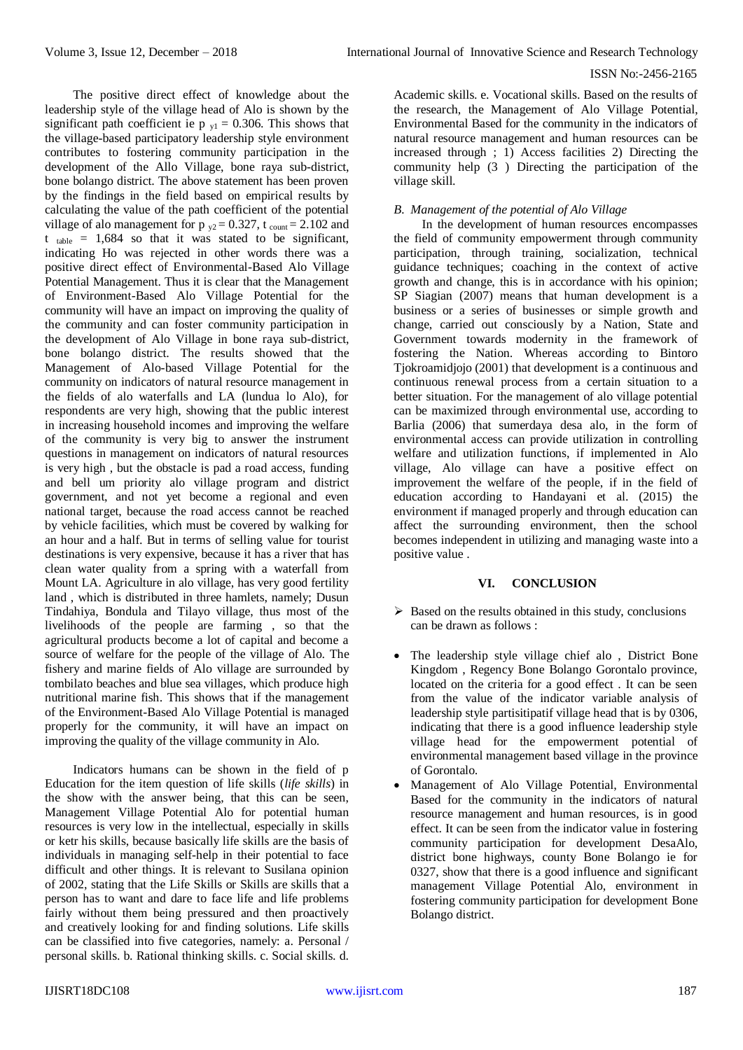The positive direct effect of knowledge about the leadership style of the village head of Alo is shown by the significant path coefficient ie p  $v_1 = 0.306$ . This shows that the village-based participatory leadership style environment contributes to fostering community participation in the development of the Allo Village, bone raya sub-district, bone bolango district. The above statement has been proven by the findings in the field based on empirical results by calculating the value of the path coefficient of the potential village of alo management for  $p_{y2} = 0.327$ , t count = 2.102 and  $t_{table}$  = 1,684 so that it was stated to be significant, indicating Ho was rejected in other words there was a positive direct effect of Environmental-Based Alo Village Potential Management. Thus it is clear that the Management of Environment-Based Alo Village Potential for the community will have an impact on improving the quality of the community and can foster community participation in the development of Alo Village in bone raya sub-district, bone bolango district. The results showed that the Management of Alo-based Village Potential for the community on indicators of natural resource management in the fields of alo waterfalls and LA (lundua lo Alo), for respondents are very high, showing that the public interest in increasing household incomes and improving the welfare of the community is very big to answer the instrument questions in management on indicators of natural resources is very high , but the obstacle is pad a road access, funding and bell um priority alo village program and district government, and not yet become a regional and even national target, because the road access cannot be reached by vehicle facilities, which must be covered by walking for an hour and a half. But in terms of selling value for tourist destinations is very expensive, because it has a river that has clean water quality from a spring with a waterfall from Mount LA. Agriculture in alo village, has very good fertility land , which is distributed in three hamlets, namely; Dusun Tindahiya, Bondula and Tilayo village, thus most of the livelihoods of the people are farming , so that the agricultural products become a lot of capital and become a source of welfare for the people of the village of Alo. The fishery and marine fields of Alo village are surrounded by tombilato beaches and blue sea villages, which produce high nutritional marine fish. This shows that if the management of the Environment-Based Alo Village Potential is managed properly for the community, it will have an impact on improving the quality of the village community in Alo.

Indicators humans can be shown in the field of p Education for the item question of life skills (*life skills*) in the show with the answer being, that this can be seen, Management Village Potential Alo for potential human resources is very low in the intellectual, especially in skills or ketr his skills, because basically life skills are the basis of individuals in managing self-help in their potential to face difficult and other things. It is relevant to Susilana opinion of 2002, stating that the Life Skills or Skills are skills that a person has to want and dare to face life and life problems fairly without them being pressured and then proactively and creatively looking for and finding solutions. Life skills can be classified into five categories, namely: a. Personal / personal skills. b. Rational thinking skills. c. Social skills. d.

Academic skills. e. Vocational skills. Based on the results of the research, the Management of Alo Village Potential, Environmental Based for the community in the indicators of natural resource management and human resources can be increased through ; 1) Access facilities 2) Directing the community help (3 ) Directing the participation of the village skill.

#### *B. Management of the potential of Alo Village*

In the development of human resources encompasses the field of community empowerment through community participation, through training, socialization, technical guidance techniques; coaching in the context of active growth and change, this is in accordance with his opinion; SP Siagian (2007) means that human development is a business or a series of businesses or simple growth and change, carried out consciously by a Nation, State and Government towards modernity in the framework of fostering the Nation. Whereas according to Bintoro Tjokroamidjojo (2001) that development is a continuous and continuous renewal process from a certain situation to a better situation. For the management of alo village potential can be maximized through environmental use, according to Barlia (2006) that sumerdaya desa alo, in the form of environmental access can provide utilization in controlling welfare and utilization functions, if implemented in Alo village, Alo village can have a positive effect on improvement the welfare of the people, if in the field of education according to Handayani et al. (2015) the environment if managed properly and through education can affect the surrounding environment, then the school becomes independent in utilizing and managing waste into a positive value .

# **VI. CONCLUSION**

- $\triangleright$  Based on the results obtained in this study, conclusions can be drawn as follows :
- The leadership style village chief alo , District Bone Kingdom , Regency Bone Bolango Gorontalo province, located on the criteria for a good effect . It can be seen from the value of the indicator variable analysis of leadership style partisitipatif village head that is by 0306, indicating that there is a good influence leadership style village head for the empowerment potential of environmental management based village in the province of Gorontalo.
- Management of Alo Village Potential, Environmental Based for the community in the indicators of natural resource management and human resources, is in good effect. It can be seen from the indicator value in fostering community participation for development DesaAlo, district bone highways, county Bone Bolango ie for 0327, show that there is a good influence and significant management Village Potential Alo, environment in fostering community participation for development Bone Bolango district.